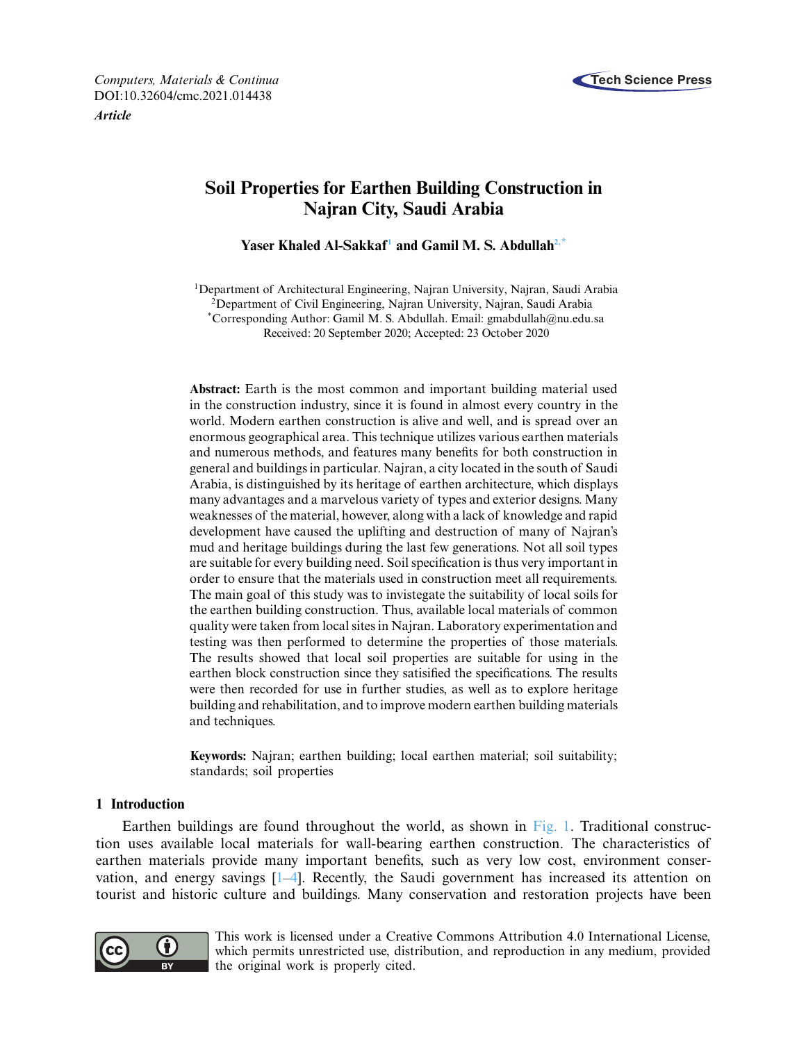

*Computers, Materials & Continua* **Tech Science Press** DOI[:10.32604/cmc.2021.014438](http://dx.doi.org/10.32604/cmc.2021.014438)

*Article*

# **Soil Properties for Earthen Building Construction in Najran City, Saudi Arabia**

Yaser Khaled Al-Sakkaf<sup>1</sup> and Gamil M. S. Abdullah<sup>2,[\\*](#page-0-2)</sup>

<span id="page-0-2"></span><span id="page-0-1"></span><span id="page-0-0"></span><sup>1</sup>Department of Architectural Engineering, Najran University, Najran, Saudi Arabia 2Department of Civil Engineering, Najran University, Najran, Saudi Arabia \*Corresponding Author: Gamil M. S. Abdullah. Email: gmabdullah@nu.edu.sa Received: 20 September 2020; Accepted: 23 October 2020

**Abstract:** Earth is the most common and important building material used in the construction industry, since it is found in almost every country in the world. Modern earthen construction is alive and well, and is spread over an enormous geographical area. This technique utilizes various earthen materials and numerous methods, and features many benefits for both construction in general and buildings in particular. Najran, a city located in the south of Saudi Arabia, is distinguished by its heritage of earthen architecture, which displays many advantages and a marvelous variety of types and exterior designs. Many weaknesses of the material, however, along with a lack of knowledge and rapid development have caused the uplifting and destruction of many of Najran's mud and heritage buildings during the last few generations. Not all soil types are suitable for every building need. Soil specification is thus very important in order to ensure that the materials used in construction meet all requirements. The main goal of this study was to invistegate the suitability of local soils for the earthen building construction. Thus, available local materials of common quality were taken from local sites in Najran. Laboratory experimentation and testing was then performed to determine the properties of those materials. The results showed that local soil properties are suitable for using in the earthen block construction since they satisified the specifications. The results were then recorded for use in further studies, as well as to explore heritage building and rehabilitation, and to improve modern earthen building materials and techniques.

**Keywords:** Najran; earthen building; local earthen material; soil suitability; standards; soil properties

## **1 Introduction**

Earthen buildings are found throughout the world, as shown in [Fig. 1.](#page-1-0) Traditional construction uses available local materials for wall-bearing earthen construction. The characteristics of earthen materials provide many important benefits, such as very low cost, environment conservation, and energy savings [\[1](#page-11-0)[–4](#page-11-1)]. Recently, the Saudi government has increased its attention on tourist and historic culture and buildings. Many conservation and restoration projects have been



This work is licensed under a Creative Commons Attribution 4.0 International License, which permits unrestricted use, distribution, and reproduction in any medium, provided the original work is properly cited.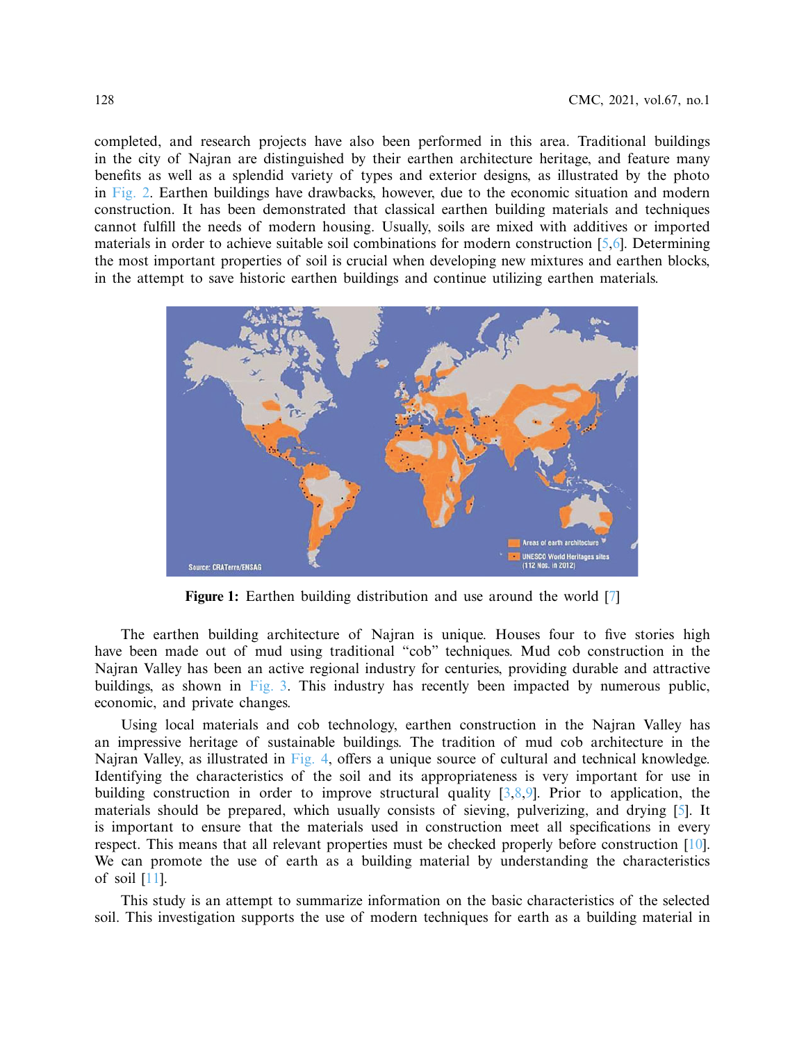completed, and research projects have also been performed in this area. Traditional buildings in the city of Najran are distinguished by their earthen architecture heritage, and feature many benefits as well as a splendid variety of types and exterior designs, as illustrated by the photo in [Fig. 2.](#page-2-0) Earthen buildings have drawbacks, however, due to the economic situation and modern construction. It has been demonstrated that classical earthen building materials and techniques cannot fulfill the needs of modern housing. Usually, soils are mixed with additives or imported materials in order to achieve suitable soil combinations for modern construction [\[5](#page-11-2)[,6](#page-11-3)]. Determining the most important properties of soil is crucial when developing new mixtures and earthen blocks, in the attempt to save historic earthen buildings and continue utilizing earthen materials.



<span id="page-1-0"></span>**Figure 1:** Earthen building distribution and use around the world [\[7\]](#page-12-0)

The earthen building architecture of Najran is unique. Houses four to five stories high have been made out of mud using traditional "cob" techniques. Mud cob construction in the Najran Valley has been an active regional industry for centuries, providing durable and attractive buildings, as shown in [Fig. 3.](#page-2-1) This industry has recently been impacted by numerous public, economic, and private changes.

Using local materials and cob technology, earthen construction in the Najran Valley has an impressive heritage of sustainable buildings. The tradition of mud cob architecture in the Najran Valley, as illustrated in [Fig. 4,](#page-3-0) offers a unique source of cultural and technical knowledge. Identifying the characteristics of the soil and its appropriateness is very important for use in building construction in order to improve structural quality [\[3](#page-11-4)[,8](#page-12-1)[,9\]](#page-12-2). Prior to application, the materials should be prepared, which usually consists of sieving, pulverizing, and drying [\[5\]](#page-11-2). It is important to ensure that the materials used in construction meet all specifications in every respect. This means that all relevant properties must be checked properly before construction [\[10\]](#page-12-3). We can promote the use of earth as a building material by understanding the characteristics of soil [\[11\]](#page-12-4).

This study is an attempt to summarize information on the basic characteristics of the selected soil. This investigation supports the use of modern techniques for earth as a building material in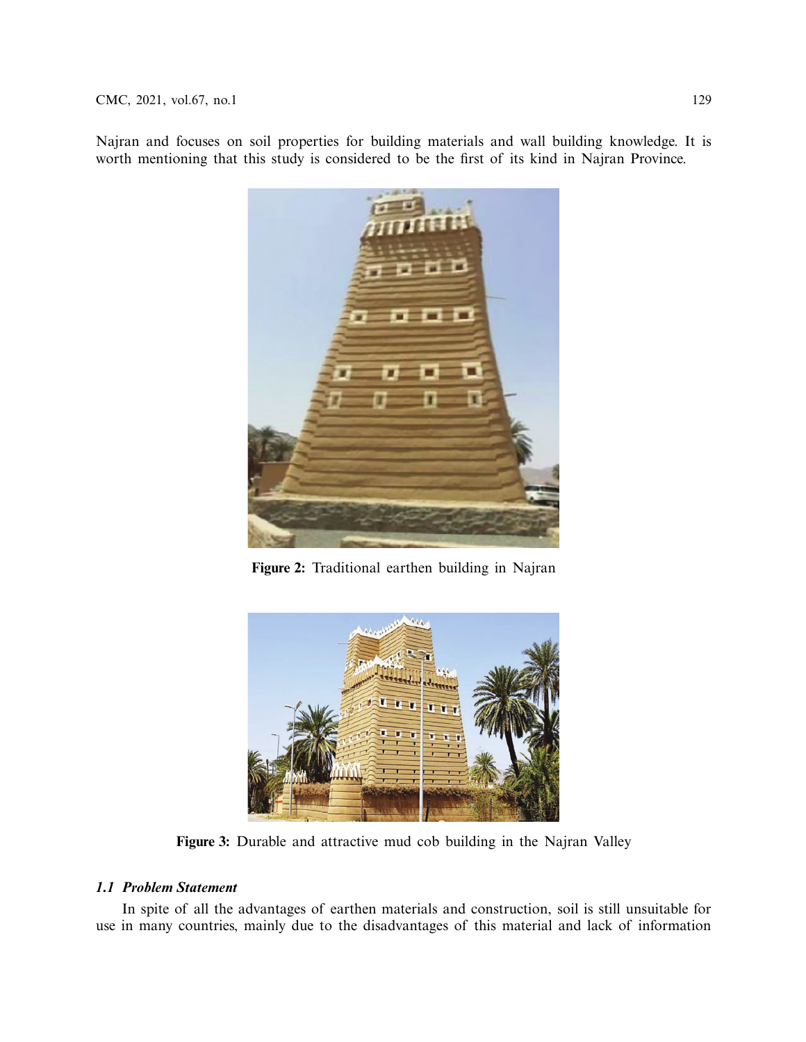Najran and focuses on soil properties for building materials and wall building knowledge. It is worth mentioning that this study is considered to be the first of its kind in Najran Province.



**Figure 2:** Traditional earthen building in Najran

<span id="page-2-0"></span>

**Figure 3:** Durable and attractive mud cob building in the Najran Valley

## <span id="page-2-1"></span>*1.1 Problem Statement*

In spite of all the advantages of earthen materials and construction, soil is still unsuitable for use in many countries, mainly due to the disadvantages of this material and lack of information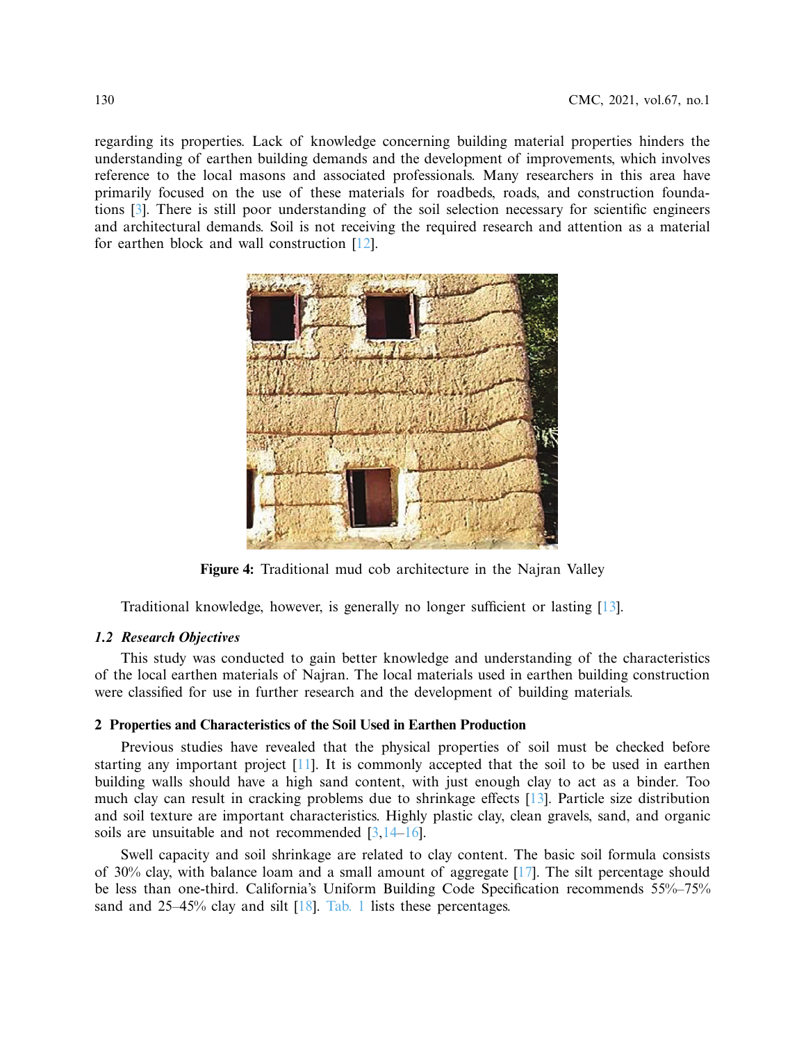regarding its properties. Lack of knowledge concerning building material properties hinders the understanding of earthen building demands and the development of improvements, which involves reference to the local masons and associated professionals. Many researchers in this area have primarily focused on the use of these materials for roadbeds, roads, and construction foundations [\[3\]](#page-11-4). There is still poor understanding of the soil selection necessary for scientific engineers and architectural demands. Soil is not receiving the required research and attention as a material for earthen block and wall construction [\[12\]](#page-12-5).



**Figure 4:** Traditional mud cob architecture in the Najran Valley

<span id="page-3-0"></span>Traditional knowledge, however, is generally no longer sufficient or lasting [\[13](#page-12-6)].

## *1.2 Research Objectives*

This study was conducted to gain better knowledge and understanding of the characteristics of the local earthen materials of Najran. The local materials used in earthen building construction were classified for use in further research and the development of building materials.

## **2 Properties and Characteristics of the Soil Used in Earthen Production**

Previous studies have revealed that the physical properties of soil must be checked before starting any important project [\[11\]](#page-12-4). It is commonly accepted that the soil to be used in earthen building walls should have a high sand content, with just enough clay to act as a binder. Too much clay can result in cracking problems due to shrinkage effects [\[13\]](#page-12-6). Particle size distribution and soil texture are important characteristics. Highly plastic clay, clean gravels, sand, and organic soils are unsuitable and not recommended [\[3](#page-11-4)[,14](#page-12-7)[–16](#page-12-8)].

Swell capacity and soil shrinkage are related to clay content. The basic soil formula consists of 30% clay, with balance loam and a small amount of aggregate [\[17\]](#page-12-9). The silt percentage should be less than one-third. California's Uniform Building Code Specification recommends 55%–75% sand and 25–45% clay and silt [\[18\]](#page-12-10). [Tab. 1](#page-4-0) lists these percentages.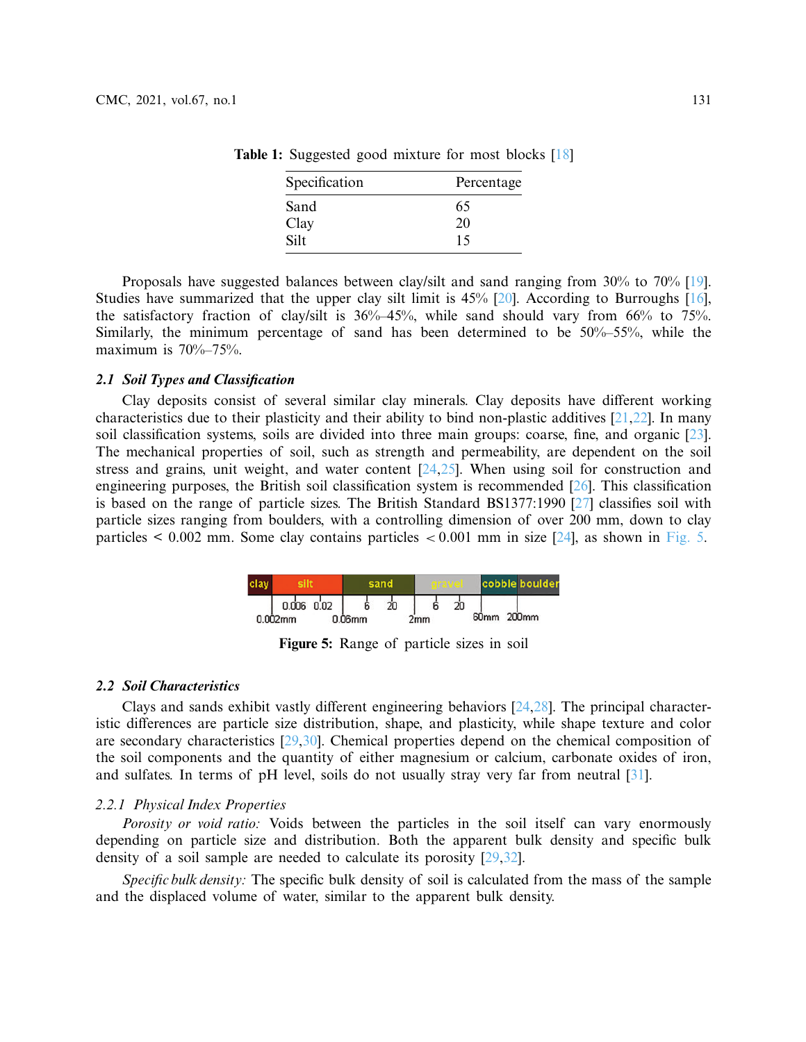<span id="page-4-0"></span>

| Specification | Percentage |
|---------------|------------|
| Sand          | 65         |
| Clay          | 20         |
| Silt          | 15         |

**Table 1:** Suggested good mixture for most blocks [\[18\]](#page-12-10)

Proposals have suggested balances between clay/silt and sand ranging from 30% to 70% [\[19\]](#page-12-11). Studies have summarized that the upper clay silt limit is 45% [\[20](#page-12-12)]. According to Burroughs [\[16\]](#page-12-8), the satisfactory fraction of clay/silt is  $36\% - 45\%$ , while sand should vary from  $66\%$  to  $75\%$ . Similarly, the minimum percentage of sand has been determined to be 50%–55%, while the maximum is  $70\% - 75\%$ .

### *2.1 Soil Types and Classification*

Clay deposits consist of several similar clay minerals. Clay deposits have different working characteristics due to their plasticity and their ability to bind non-plastic additives [\[21](#page-12-13)[,22\]](#page-12-14). In many soil classification systems, soils are divided into three main groups: coarse, fine, and organic [\[23\]](#page-12-15). The mechanical properties of soil, such as strength and permeability, are dependent on the soil stress and grains, unit weight, and water content [\[24](#page-12-16)[,25\]](#page-12-17). When using soil for construction and engineering purposes, the British soil classification system is recommended [\[26\]](#page-12-18). This classification is based on the range of particle sizes. The British Standard BS1377:1990 [\[27\]](#page-12-19) classifies soil with particle sizes ranging from boulders, with a controlling dimension of over 200 mm, down to clay particles < 0.002 mm. Some clay contains particles *<* 0.001 mm in size [\[24\]](#page-12-16), as shown in [Fig. 5.](#page-4-1)

|  |                |           |  |     |  |                  | cobble boulder    |  |
|--|----------------|-----------|--|-----|--|------------------|-------------------|--|
|  | $0.006$ $0.02$ |           |  |     |  |                  |                   |  |
|  | $0.002$ mm     | $0.06$ mm |  | 2mm |  | 60 <sub>mm</sub> | 200 <sub>mm</sub> |  |

<span id="page-4-1"></span>**Figure 5:** Range of particle sizes in soil

#### *2.2 Soil Characteristics*

Clays and sands exhibit vastly different engineering behaviors [\[24](#page-12-16)[,28\]](#page-12-20). The principal characteristic differences are particle size distribution, shape, and plasticity, while shape texture and color are secondary characteristics [\[29](#page-12-21)[,30\]](#page-13-0). Chemical properties depend on the chemical composition of the soil components and the quantity of either magnesium or calcium, carbonate oxides of iron, and sulfates. In terms of pH level, soils do not usually stray very far from neutral [\[31\]](#page-13-1).

## *2.2.1 Physical Index Properties*

*Porosity or void ratio:* Voids between the particles in the soil itself can vary enormously depending on particle size and distribution. Both the apparent bulk density and specific bulk density of a soil sample are needed to calculate its porosity [\[29](#page-12-21)[,32\]](#page-13-2).

*Specific bulk density:* The specific bulk density of soil is calculated from the mass of the sample and the displaced volume of water, similar to the apparent bulk density.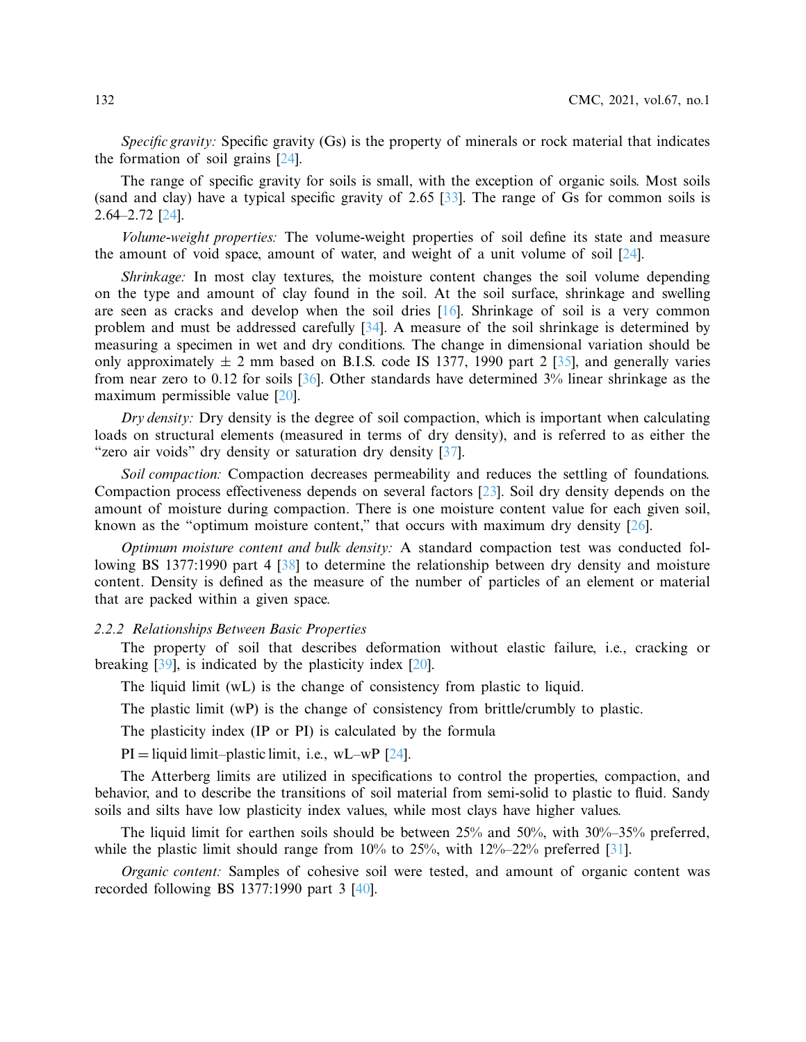*Specific gravity:* Specific gravity (Gs) is the property of minerals or rock material that indicates the formation of soil grains [\[24](#page-12-16)].

The range of specific gravity for soils is small, with the exception of organic soils. Most soils (sand and clay) have a typical specific gravity of 2.65 [\[33](#page-13-3)]. The range of Gs for common soils is 2.64–2.72 [\[24\]](#page-12-16).

*Volume-weight properties:* The volume-weight properties of soil define its state and measure the amount of void space, amount of water, and weight of a unit volume of soil [\[24](#page-12-16)].

*Shrinkage:* In most clay textures, the moisture content changes the soil volume depending on the type and amount of clay found in the soil. At the soil surface, shrinkage and swelling are seen as cracks and develop when the soil dries [\[16\]](#page-12-8). Shrinkage of soil is a very common problem and must be addressed carefully [\[34\]](#page-13-4). A measure of the soil shrinkage is determined by measuring a specimen in wet and dry conditions. The change in dimensional variation should be only approximately  $\pm$  2 mm based on B.I.S. code IS 1377, 1990 part 2 [\[35](#page-13-5)], and generally varies from near zero to 0.12 for soils [\[36\]](#page-13-6). Other standards have determined 3% linear shrinkage as the maximum permissible value [\[20\]](#page-12-12).

*Dry density:* Dry density is the degree of soil compaction, which is important when calculating loads on structural elements (measured in terms of dry density), and is referred to as either the "zero air voids" dry density or saturation dry density [\[37\]](#page-13-7).

*Soil compaction:* Compaction decreases permeability and reduces the settling of foundations. Compaction process effectiveness depends on several factors [\[23\]](#page-12-15). Soil dry density depends on the amount of moisture during compaction. There is one moisture content value for each given soil, known as the "optimum moisture content," that occurs with maximum dry density  $[26]$  $[26]$ .

*Optimum moisture content and bulk density:* A standard compaction test was conducted following BS 1377:1990 part 4 [\[38\]](#page-13-8) to determine the relationship between dry density and moisture content. Density is defined as the measure of the number of particles of an element or material that are packed within a given space.

## *2.2.2 Relationships Between Basic Properties*

The property of soil that describes deformation without elastic failure, i.e., cracking or breaking [\[39](#page-13-9)], is indicated by the plasticity index [\[20\]](#page-12-12).

The liquid limit (wL) is the change of consistency from plastic to liquid.

The plastic limit (wP) is the change of consistency from brittle/crumbly to plastic.

The plasticity index (IP or PI) is calculated by the formula

 $PI = liquid limit–plastic limit, i.e., wL–wP [24].$  $PI = liquid limit–plastic limit, i.e., wL–wP [24].$  $PI = liquid limit–plastic limit, i.e., wL–wP [24].$ 

The Atterberg limits are utilized in specifications to control the properties, compaction, and behavior, and to describe the transitions of soil material from semi-solid to plastic to fluid. Sandy soils and silts have low plasticity index values, while most clays have higher values.

The liquid limit for earthen soils should be between 25% and 50%, with 30%–35% preferred, while the plastic limit should range from 10% to 25%, with 12%–22% preferred [\[31\]](#page-13-1).

*Organic content:* Samples of cohesive soil were tested, and amount of organic content was recorded following BS 1377:1990 part 3 [\[40](#page-13-10)].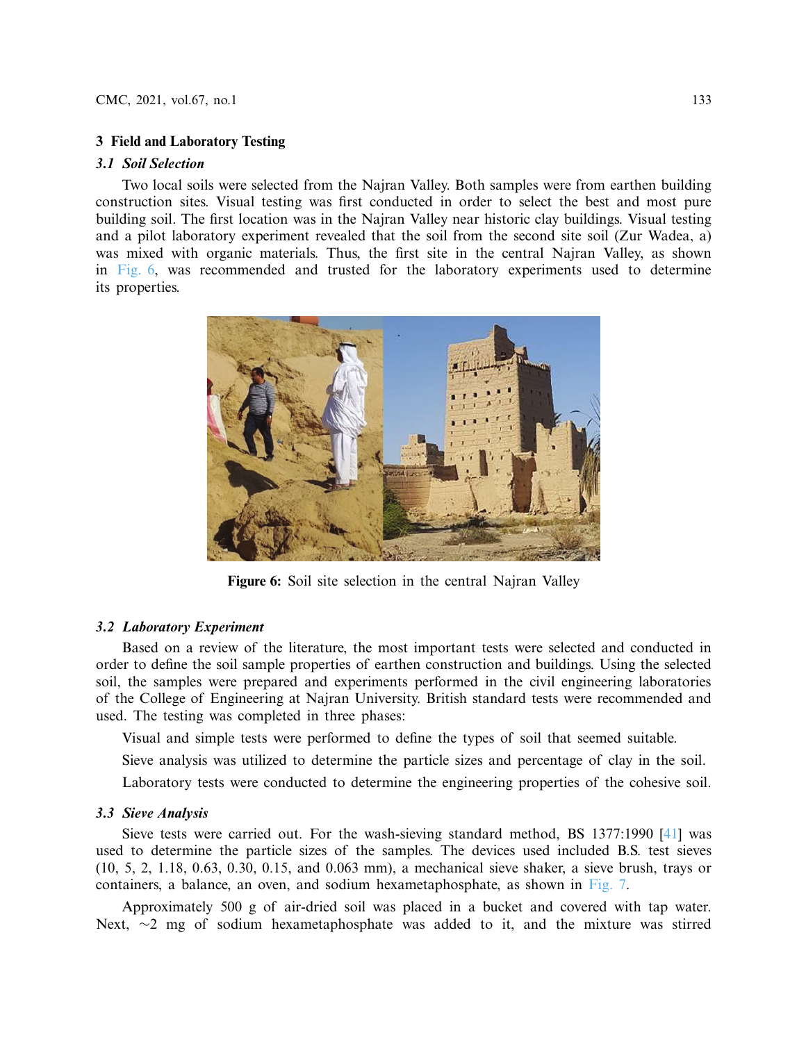## **3 Field and Laboratory Testing**

## *3.1 Soil Selection*

Two local soils were selected from the Najran Valley. Both samples were from earthen building construction sites. Visual testing was first conducted in order to select the best and most pure building soil. The first location was in the Najran Valley near historic clay buildings. Visual testing and a pilot laboratory experiment revealed that the soil from the second site soil (Zur Wadea, a) was mixed with organic materials. Thus, the first site in the central Najran Valley, as shown in [Fig. 6,](#page-6-0) was recommended and trusted for the laboratory experiments used to determine its properties.



**Figure 6:** Soil site selection in the central Najran Valley

## <span id="page-6-0"></span>*3.2 Laboratory Experiment*

Based on a review of the literature, the most important tests were selected and conducted in order to define the soil sample properties of earthen construction and buildings. Using the selected soil, the samples were prepared and experiments performed in the civil engineering laboratories of the College of Engineering at Najran University. British standard tests were recommended and used. The testing was completed in three phases:

Visual and simple tests were performed to define the types of soil that seemed suitable.

Sieve analysis was utilized to determine the particle sizes and percentage of clay in the soil.

Laboratory tests were conducted to determine the engineering properties of the cohesive soil.

## *3.3 Sieve Analysis*

Sieve tests were carried out. For the wash-sieving standard method, BS 1377:1990 [\[41](#page-13-11)] was used to determine the particle sizes of the samples. The devices used included B.S. test sieves (10, 5, 2, 1.18, 0.63, 0.30, 0.15, and 0.063 mm), a mechanical sieve shaker, a sieve brush, trays or containers, a balance, an oven, and sodium hexametaphosphate, as shown in [Fig. 7.](#page-7-0)

Approximately 500 g of air-dried soil was placed in a bucket and covered with tap water. Next, ~2 mg of sodium hexametaphosphate was added to it, and the mixture was stirred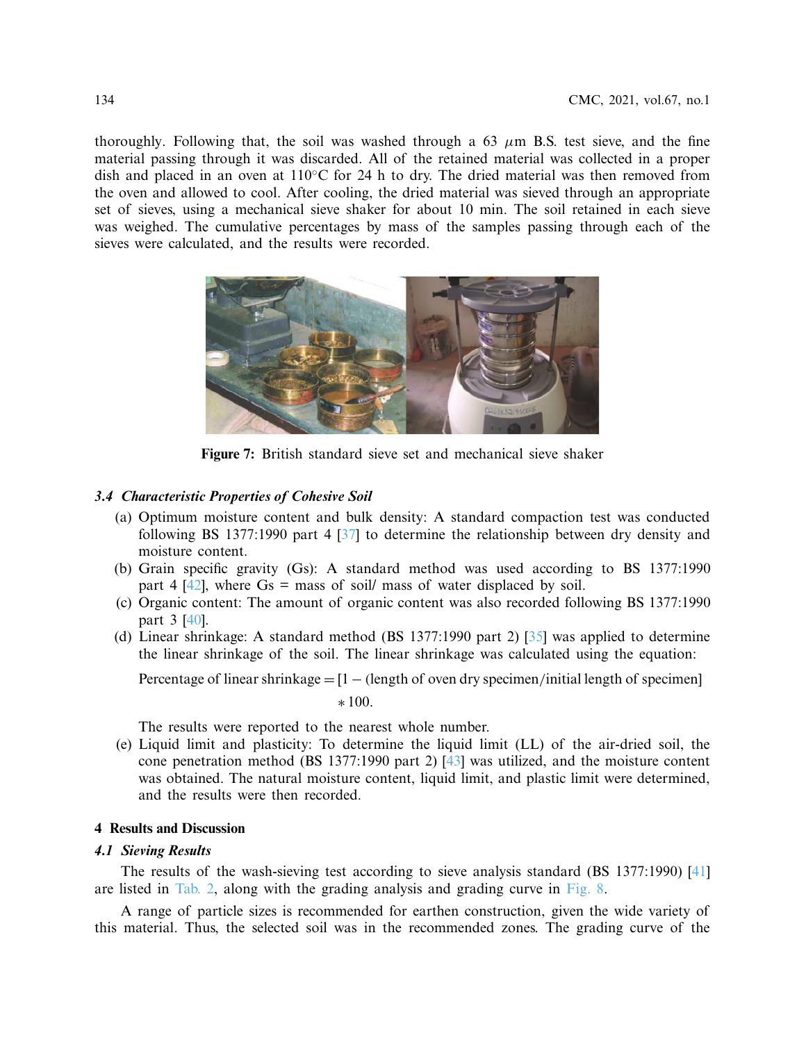thoroughly. Following that, the soil was washed through a 63  $\mu$ m B.S. test sieve, and the fine material passing through it was discarded. All of the retained material was collected in a proper dish and placed in an oven at 110◦C for 24 h to dry. The dried material was then removed from the oven and allowed to cool. After cooling, the dried material was sieved through an appropriate set of sieves, using a mechanical sieve shaker for about 10 min. The soil retained in each sieve was weighed. The cumulative percentages by mass of the samples passing through each of the sieves were calculated, and the results were recorded.



**Figure 7:** British standard sieve set and mechanical sieve shaker

## *3.4 Characteristic Properties of Cohesive Soil*

- <span id="page-7-0"></span>(a) Optimum moisture content and bulk density: A standard compaction test was conducted following BS 1377:1990 part 4 [\[37](#page-13-7)] to determine the relationship between dry density and moisture content.
- (b) Grain specific gravity (Gs): A standard method was used according to BS 1377:1990 part 4  $[42]$ , where Gs = mass of soil/ mass of water displaced by soil.
- (c) Organic content: The amount of organic content was also recorded following BS 1377:1990 part 3 [\[40\]](#page-13-10).
- (d) Linear shrinkage: A standard method (BS 1377:1990 part 2) [\[35\]](#page-13-5) was applied to determine the linear shrinkage of the soil. The linear shrinkage was calculated using the equation:

Percentage of linear shrinkage = [1 − *(*length of oven dry specimen*/*initial length of specimen]

$$
\ast\,100.
$$

The results were reported to the nearest whole number.

(e) Liquid limit and plasticity: To determine the liquid limit (LL) of the air-dried soil, the cone penetration method (BS 1377:1990 part 2) [\[43](#page-13-13)] was utilized, and the moisture content was obtained. The natural moisture content, liquid limit, and plastic limit were determined, and the results were then recorded.

## **4 Results and Discussion**

#### *4.1 Sieving Results*

The results of the wash-sieving test according to sieve analysis standard (BS 1377:1990) [\[41\]](#page-13-11) are listed in [Tab. 2,](#page-8-0) along with the grading analysis and grading curve in [Fig. 8.](#page-8-1)

A range of particle sizes is recommended for earthen construction, given the wide variety of this material. Thus, the selected soil was in the recommended zones. The grading curve of the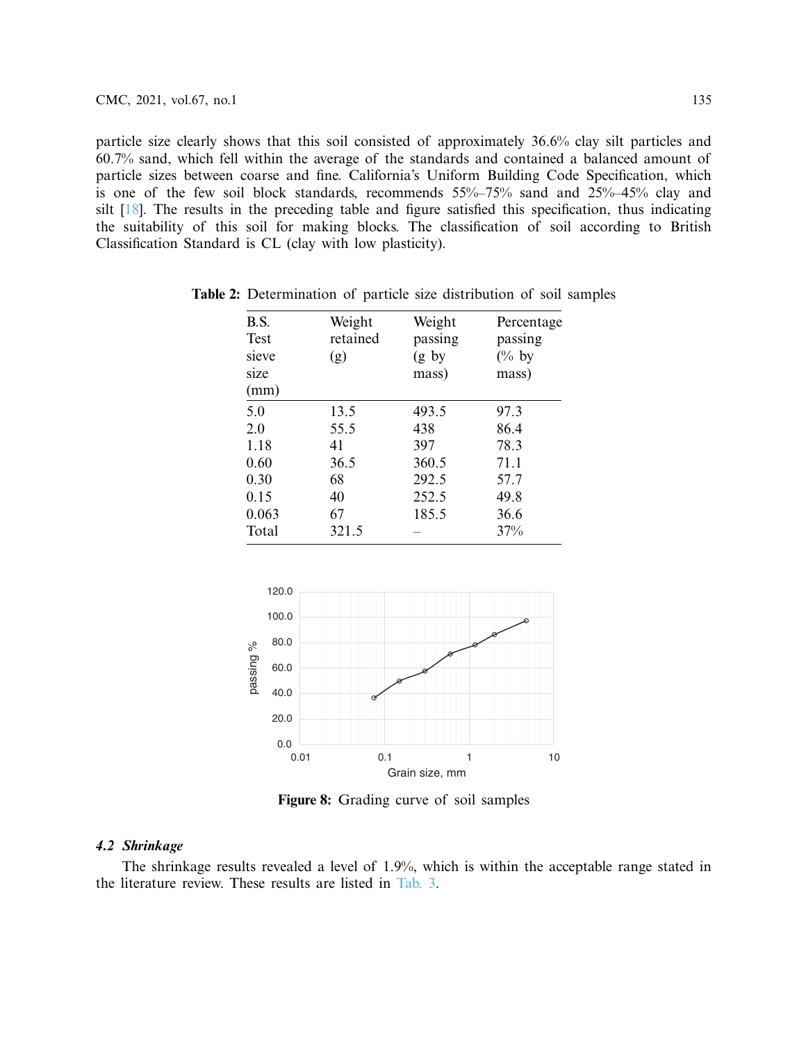particle size clearly shows that this soil consisted of approximately 36.6% clay silt particles and 60.7% sand, which fell within the average of the standards and contained a balanced amount of particle sizes between coarse and fine. California's Uniform Building Code Specification, which is one of the few soil block standards, recommends 55%–75% sand and 25%–45% clay and silt [\[18\]](#page-12-10). The results in the preceding table and figure satisfied this specification, thus indicating the suitability of this soil for making blocks. The classification of soil according to British Classification Standard is CL (clay with low plasticity).

<span id="page-8-0"></span>

| B.S.  | Weight   | Weight  | Percentage       |
|-------|----------|---------|------------------|
| Test  | retained | passing | passing          |
| sieve | (g)      | (g by)  | $\frac{6}{6}$ by |
| size  |          | mass)   | mass)            |
| (mm)  |          |         |                  |
| 5.0   | 13.5     | 493.5   | 97.3             |
| 2.0   | 55.5     | 438     | 86.4             |
| 1.18  | 41       | 397     | 78.3             |
| 0.60  | 36.5     | 360.5   | 71.1             |
| 0.30  | 68       | 292.5   | 57.7             |
| 0.15  | 40       | 252.5   | 49.8             |
| 0.063 | 67       | 185.5   | 36.6             |
| Total | 321.5    |         | 37%              |

**Table 2:** Determination of particle size distribution of soil samples



<span id="page-8-1"></span>**Figure 8:** Grading curve of soil samples

## *4.2 Shrinkage*

The shrinkage results revealed a level of 1.9%, which is within the acceptable range stated in the literature review. These results are listed in [Tab. 3.](#page-9-0)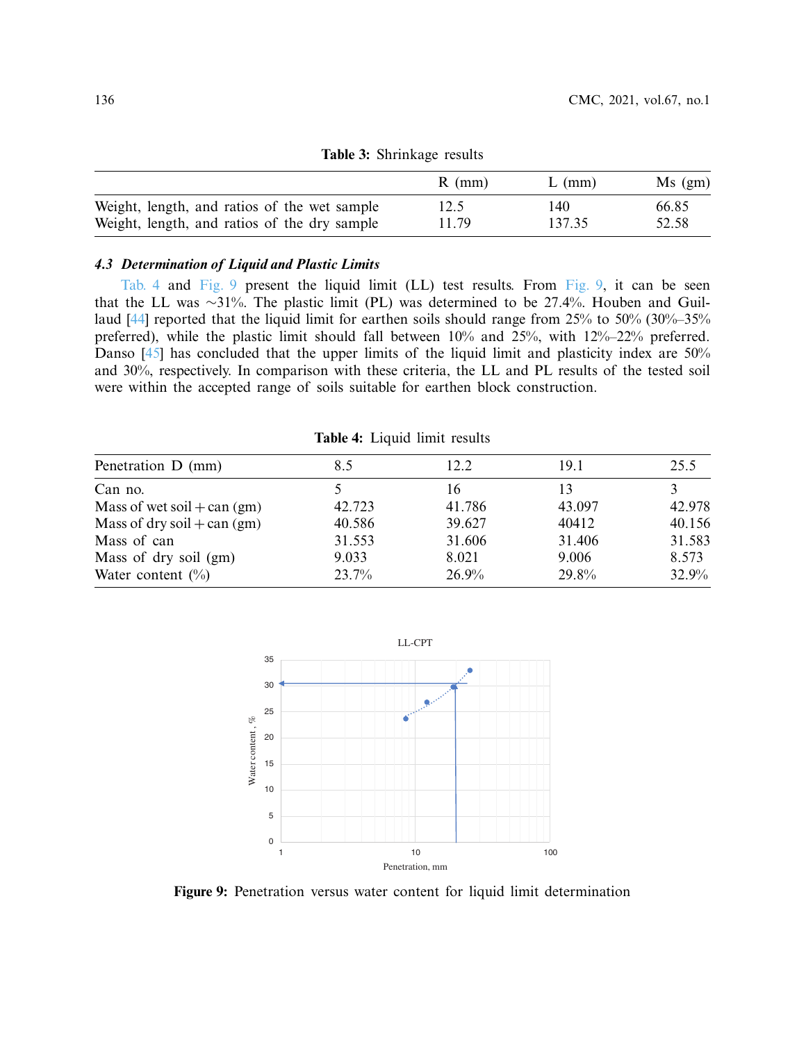| <b>rapic 9.</b> Billingge results            |          |          |           |  |  |  |
|----------------------------------------------|----------|----------|-----------|--|--|--|
|                                              | $R$ (mm) | $L$ (mm) | $Ms$ (gm) |  |  |  |
| Weight, length, and ratios of the wet sample | 12.5     | 140      | 66.85     |  |  |  |
| Weight, length, and ratios of the dry sample | 11.79    | 137.35   | 52.58     |  |  |  |

<span id="page-9-0"></span>**Table 3:** Shrinkage results

## *4.3 Determination of Liquid and Plastic Limits*

[Tab. 4](#page-9-1) and [Fig. 9](#page-9-2) present the liquid limit (LL) test results. From [Fig. 9,](#page-9-2) it can be seen that the LL was ∼31%. The plastic limit (PL) was determined to be 27.4%. Houben and Guillaud [\[44](#page-13-14)] reported that the liquid limit for earthen soils should range from 25% to 50% (30%–35% preferred), while the plastic limit should fall between 10% and 25%, with 12%–22% preferred. Danso [\[45\]](#page-13-15) has concluded that the upper limits of the liquid limit and plasticity index are 50% and 30%, respectively. In comparison with these criteria, the LL and PL results of the tested soil were within the accepted range of soils suitable for earthen block construction.

<span id="page-9-1"></span>**Table 4:** Liquid limit results

| Penetration D (mm)            | 8.5    | 12.2   | 19.1   | 25.5   |  |
|-------------------------------|--------|--------|--------|--------|--|
| Can no.                       |        | 16     | 13     |        |  |
| Mass of wet soil + can $(gm)$ | 42.723 | 41.786 | 43.097 | 42.978 |  |
| Mass of dry soil + can $(gm)$ | 40.586 | 39.627 | 40412  | 40.156 |  |
| Mass of can                   | 31.553 | 31.606 | 31.406 | 31.583 |  |
| Mass of dry soil (gm)         | 9.033  | 8.021  | 9.006  | 8.573  |  |
| Water content $(\% )$         | 23.7%  | 26.9%  | 29.8%  | 32.9%  |  |
|                               |        |        |        |        |  |



<span id="page-9-2"></span>**Figure 9:** Penetration versus water content for liquid limit determination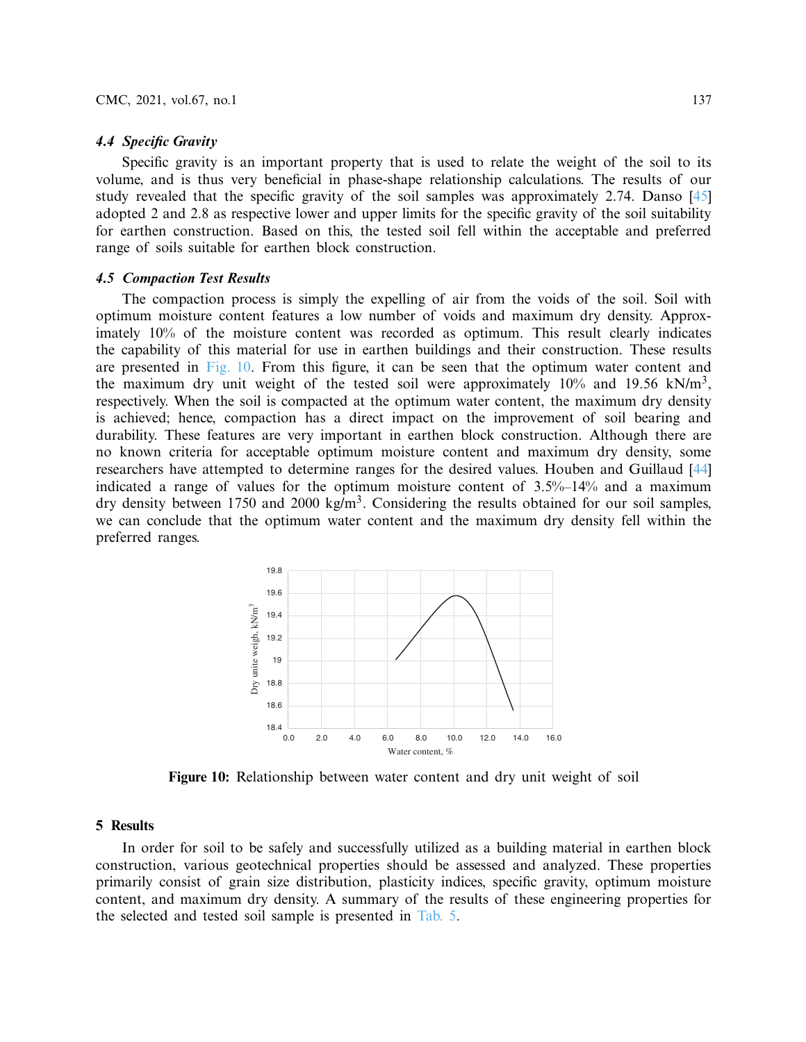### *4.4 Specific Gravity*

Specific gravity is an important property that is used to relate the weight of the soil to its volume, and is thus very beneficial in phase-shape relationship calculations. The results of our study revealed that the specific gravity of the soil samples was approximately 2.74. Danso [\[45\]](#page-13-15) adopted 2 and 2.8 as respective lower and upper limits for the specific gravity of the soil suitability for earthen construction. Based on this, the tested soil fell within the acceptable and preferred range of soils suitable for earthen block construction.

### *4.5 Compaction Test Results*

The compaction process is simply the expelling of air from the voids of the soil. Soil with optimum moisture content features a low number of voids and maximum dry density. Approximately 10% of the moisture content was recorded as optimum. This result clearly indicates the capability of this material for use in earthen buildings and their construction. These results are presented in [Fig. 10.](#page-10-0) From this figure, it can be seen that the optimum water content and the maximum dry unit weight of the tested soil were approximately  $10\%$  and  $19.56$  kN/m<sup>3</sup>, respectively. When the soil is compacted at the optimum water content, the maximum dry density is achieved; hence, compaction has a direct impact on the improvement of soil bearing and durability. These features are very important in earthen block construction. Although there are no known criteria for acceptable optimum moisture content and maximum dry density, some researchers have attempted to determine ranges for the desired values. Houben and Guillaud [\[44\]](#page-13-14) indicated a range of values for the optimum moisture content of 3.5%–14% and a maximum dry density between 1750 and 2000 kg/m<sup>3</sup>. Considering the results obtained for our soil samples, we can conclude that the optimum water content and the maximum dry density fell within the preferred ranges.



<span id="page-10-0"></span>**Figure 10:** Relationship between water content and dry unit weight of soil

#### **5 Results**

In order for soil to be safely and successfully utilized as a building material in earthen block construction, various geotechnical properties should be assessed and analyzed. These properties primarily consist of grain size distribution, plasticity indices, specific gravity, optimum moisture content, and maximum dry density. A summary of the results of these engineering properties for the selected and tested soil sample is presented in [Tab. 5.](#page-11-5)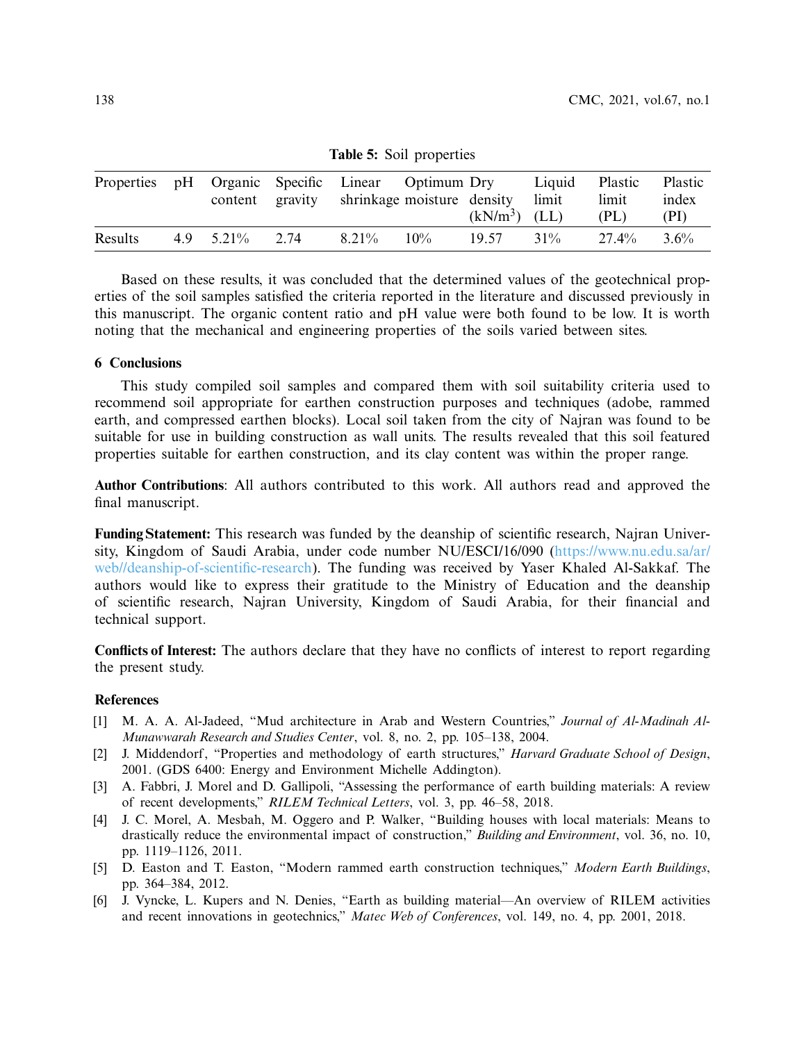| Properties |              |      | pH Organic Specific Linear Optimum Dry<br>content gravity shrinkage moisture density |        | $(kN/m3)$ (LL) | Liquid<br>limit | Plastic<br>limit<br>(PL) | Plastic<br>index<br>(PI) |
|------------|--------------|------|--------------------------------------------------------------------------------------|--------|----------------|-----------------|--------------------------|--------------------------|
| Results    | 4.9 $5.21\%$ | 2.74 | 8.21%                                                                                | $10\%$ | 19.57          | $31\%$          | $27.4\%$                 | $3.6\%$                  |

<span id="page-11-5"></span>**Table 5:** Soil properties

Based on these results, it was concluded that the determined values of the geotechnical properties of the soil samples satisfied the criteria reported in the literature and discussed previously in this manuscript. The organic content ratio and pH value were both found to be low. It is worth noting that the mechanical and engineering properties of the soils varied between sites.

## **6 Conclusions**

This study compiled soil samples and compared them with soil suitability criteria used to recommend soil appropriate for earthen construction purposes and techniques (adobe, rammed earth, and compressed earthen blocks). Local soil taken from the city of Najran was found to be suitable for use in building construction as wall units. The results revealed that this soil featured properties suitable for earthen construction, and its clay content was within the proper range.

**Author Contributions**: All authors contributed to this work. All authors read and approved the final manuscript.

**Funding Statement:** This research was funded by the deanship of scientific research, Najran University, Kingdom of Saudi Arabia, under code number NU/ESCI/16/090 [\(https://www.nu.edu.sa/ar/](https://www.nu.edu.sa/ar/web//deanship-of-scientific-research) [web//deanship-of-scientific-research\)](https://www.nu.edu.sa/ar/web//deanship-of-scientific-research). The funding was received by Yaser Khaled Al-Sakkaf. The authors would like to express their gratitude to the Ministry of Education and the deanship of scientific research, Najran University, Kingdom of Saudi Arabia, for their financial and technical support.

**Conflicts of Interest:** The authors declare that they have no conflicts of interest to report regarding the present study.

#### **References**

- <span id="page-11-0"></span>[1] M. A. A. Al-Jadeed, "Mud architecture in Arab and Western Countries," *Journal of Al-Madinah Al-Munawwarah Research and Studies Center*, vol. 8, no. 2, pp. 105–138, 2004.
- [2] J. Middendorf, "Properties and methodology of earth structures," *Harvard Graduate School of Design*, 2001. (GDS 6400: Energy and Environment Michelle Addington).
- <span id="page-11-4"></span>[3] A. Fabbri, J. Morel and D. Gallipoli, "Assessing the performance of earth building materials: A review of recent developments," *RILEM Technical Letters*, vol. 3, pp. 46–58, 2018.
- <span id="page-11-1"></span>[4] J. C. Morel, A. Mesbah, M. Oggero and P. Walker, "Building houses with local materials: Means to drastically reduce the environmental impact of construction," *Building and Environment*, vol. 36, no. 10, pp. 1119–1126, 2011.
- <span id="page-11-2"></span>[5] D. Easton and T. Easton, "Modern rammed earth construction techniques," *Modern Earth Buildings*, pp. 364–384, 2012.
- <span id="page-11-3"></span>[6] J. Vyncke, L. Kupers and N. Denies, "Earth as building material—An overview of RILEM activities and recent innovations in geotechnics," *Matec Web of Conferences*, vol. 149, no. 4, pp. 2001, 2018.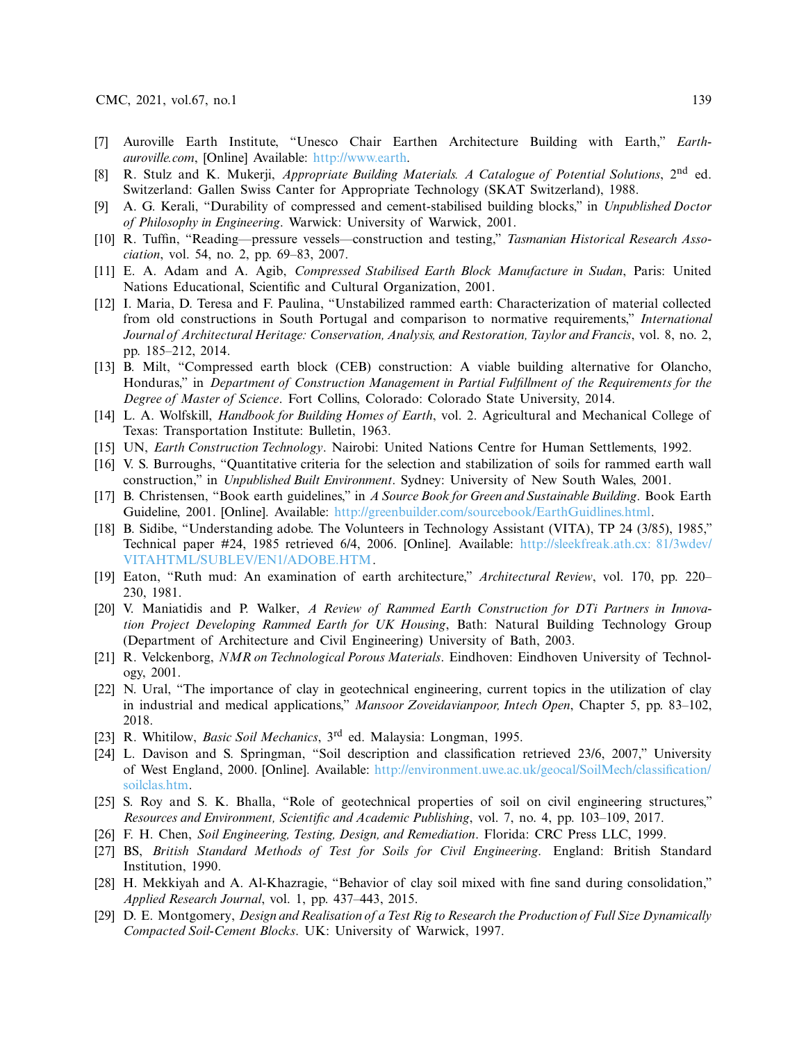- <span id="page-12-0"></span>[7] Auroville Earth Institute, "Unesco Chair Earthen Architecture Building with Earth," *Earthauroville.com*, [Online] Available: [http://www.earth.](http://www.earth)
- <span id="page-12-1"></span>[8] R. Stulz and K. Mukerji, *Appropriate Building Materials. A Catalogue of Potential Solutions*, 2nd ed. Switzerland: Gallen Swiss Canter for Appropriate Technology (SKAT Switzerland), 1988.
- <span id="page-12-2"></span>[9] A. G. Kerali, "Durability of compressed and cement-stabilised building blocks," in *Unpublished Doctor of Philosophy in Engineering*. Warwick: University of Warwick, 2001.
- <span id="page-12-3"></span>[10] R. Tuffin, "Reading—pressure vessels—construction and testing," *Tasmanian Historical Research Association*, vol. 54, no. 2, pp. 69–83, 2007.
- <span id="page-12-4"></span>[11] E. A. Adam and A. Agib, *Compressed Stabilised Earth Block Manufacture in Sudan*, Paris: United Nations Educational, Scientific and Cultural Organization, 2001.
- <span id="page-12-5"></span>[12] I. Maria, D. Teresa and F. Paulina, "Unstabilized rammed earth: Characterization of material collected from old constructions in South Portugal and comparison to normative requirements," *International Journal of Architectural Heritage: Conservation, Analysis, and Restoration, Taylor and Francis*, vol. 8, no. 2, pp. 185–212, 2014.
- <span id="page-12-6"></span>[13] B. Milt, "Compressed earth block (CEB) construction: A viable building alternative for Olancho, Honduras," in *Department of Construction Management in Partial Fulfillment of the Requirements for the Degree of Master of Science*. Fort Collins, Colorado: Colorado State University, 2014.
- <span id="page-12-7"></span>[14] L. A. Wolfskill, *Handbook for Building Homes of Earth*, vol. 2. Agricultural and Mechanical College of Texas: Transportation Institute: Bulletin, 1963.
- [15] UN, *Earth Construction Technology*. Nairobi: United Nations Centre for Human Settlements, 1992.
- <span id="page-12-8"></span>[16] V. S. Burroughs, "Quantitative criteria for the selection and stabilization of soils for rammed earth wall construction," in *Unpublished Built Environment*. Sydney: University of New South Wales, 2001.
- <span id="page-12-9"></span>[17] B. Christensen, "Book earth guidelines," in *A Source Book for Green and Sustainable Building*. Book Earth Guideline, 2001. [Online]. Available: [http://greenbuilder.com/sourcebook/EarthGuidlines.html.](http://greenbuilder.com/sourcebook/EarthGuidlines.html)
- <span id="page-12-10"></span>[18] B. Sidibe, "Understanding adobe. The Volunteers in Technology Assistant (VITA), TP 24 (3/85), 1985," Technical paper #24, 1985 retrieved 6/4, 2006. [Online]. Available: [http://sleekfreak.ath.cx: 81/3wdev/](http://sleekfreak.ath.cx: 81/3wdev/VITAHTML/SUBLEV/EN1/ADOBE.HTM) [VITAHTML/SUBLEV/EN1/ADOBE.HTM.](http://sleekfreak.ath.cx: 81/3wdev/VITAHTML/SUBLEV/EN1/ADOBE.HTM)
- <span id="page-12-11"></span>[19] Eaton, "Ruth mud: An examination of earth architecture," *Architectural Review*, vol. 170, pp. 220– 230, 1981.
- <span id="page-12-12"></span>[20] V. Maniatidis and P. Walker, *A Review of Rammed Earth Construction for DTi Partners in Innovation Project Developing Rammed Earth for UK Housing*, Bath: Natural Building Technology Group (Department of Architecture and Civil Engineering) University of Bath, 2003.
- <span id="page-12-13"></span>[21] R. Velckenborg, *NMR on Technological Porous Materials*. Eindhoven: Eindhoven University of Technology, 2001.
- <span id="page-12-14"></span>[22] N. Ural, "The importance of clay in geotechnical engineering, current topics in the utilization of clay in industrial and medical applications," *Mansoor Zoveidavianpoor, Intech Open*, Chapter 5, pp. 83–102, 2018.
- <span id="page-12-15"></span>[23] R. Whitilow, *Basic Soil Mechanics*, 3rd ed. Malaysia: Longman, 1995.
- <span id="page-12-16"></span>[24] L. Davison and S. Springman, "Soil description and classification retrieved 23/6, 2007," University of West England, 2000. [Online]. Available: [http://environment.uwe.ac.uk/geocal/SoilMech/classification/](http://environment.uwe.ac.uk/geocal/SoilMech/classification/soilclas.htm) [soilclas.htm.](http://environment.uwe.ac.uk/geocal/SoilMech/classification/soilclas.htm)
- <span id="page-12-17"></span>[25] S. Roy and S. K. Bhalla, "Role of geotechnical properties of soil on civil engineering structures," *Resources and Environment, Scientific and Academic Publishing*, vol. 7, no. 4, pp. 103–109, 2017.
- <span id="page-12-18"></span>[26] F. H. Chen, *Soil Engineering, Testing, Design, and Remediation*. Florida: CRC Press LLC, 1999.
- <span id="page-12-19"></span>[27] BS, *British Standard Methods of Test for Soils for Civil Engineering*. England: British Standard Institution, 1990.
- <span id="page-12-20"></span>[28] H. Mekkiyah and A. Al-Khazragie, "Behavior of clay soil mixed with fine sand during consolidation," *Applied Research Journal*, vol. 1, pp. 437–443, 2015.
- <span id="page-12-21"></span>[29] D. E. Montgomery, *Design and Realisation of a Test Rig to Research the Production of Full Size Dynamically Compacted Soil-Cement Blocks*. UK: University of Warwick, 1997.